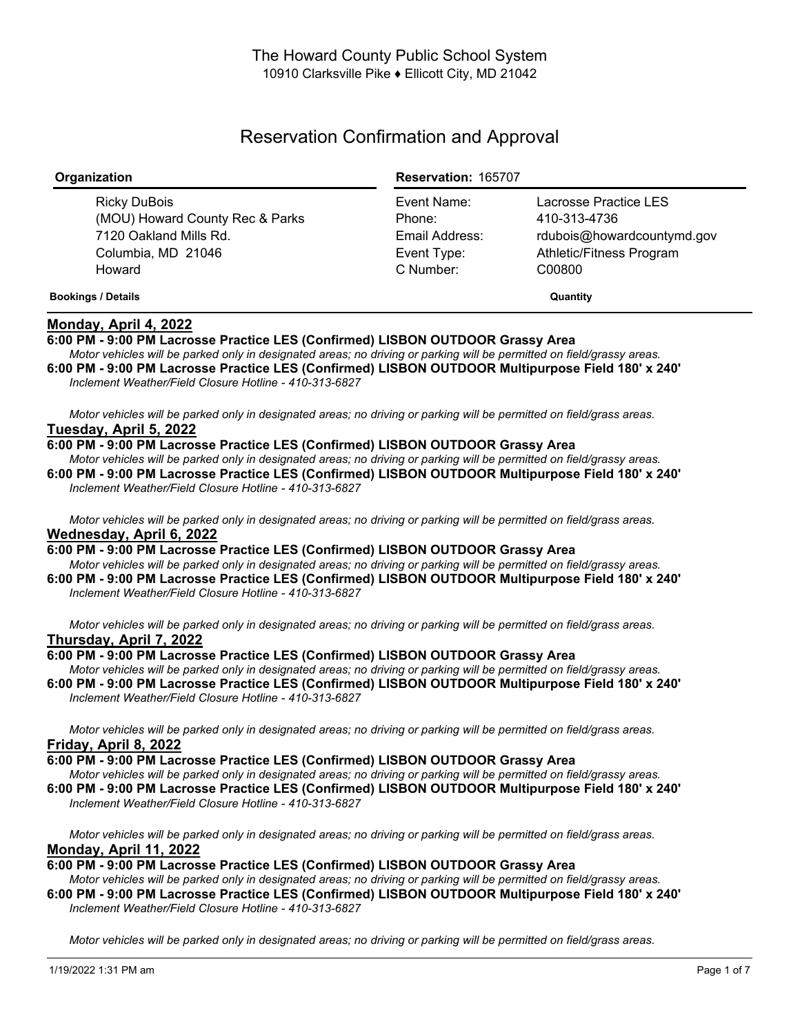# Reservation Confirmation and Approval

| Organization                                                                                              | <b>Reservation: 165707</b>                                          |                                                                                                           |
|-----------------------------------------------------------------------------------------------------------|---------------------------------------------------------------------|-----------------------------------------------------------------------------------------------------------|
| Ricky DuBois<br>(MOU) Howard County Rec & Parks<br>7120 Oakland Mills Rd.<br>Columbia, MD 21046<br>Howard | Event Name:<br>Phone:<br>Email Address:<br>Event Type:<br>C Number: | Lacrosse Practice LES<br>410-313-4736<br>rdubois@howardcountymd.gov<br>Athletic/Fitness Program<br>C00800 |
| <b>Bookings / Details</b>                                                                                 |                                                                     | Quantity                                                                                                  |

## **Monday, April 4, 2022**

## **6:00 PM - 9:00 PM Lacrosse Practice LES (Confirmed) LISBON OUTDOOR Grassy Area**

Motor vehicles will be parked only in designated areas; no driving or parking will be permitted on field/grassy areas. **6:00 PM - 9:00 PM Lacrosse Practice LES (Confirmed) LISBON OUTDOOR Multipurpose Field 180' x 240'** *Inclement Weather/Field Closure Hotline - 410-313-6827*

Motor vehicles will be parked only in designated areas; no driving or parking will be permitted on field/grass areas. **Tuesday, April 5, 2022**

#### **6:00 PM - 9:00 PM Lacrosse Practice LES (Confirmed) LISBON OUTDOOR Grassy Area**

Motor vehicles will be parked only in designated areas; no driving or parking will be permitted on field/grassy areas. **6:00 PM - 9:00 PM Lacrosse Practice LES (Confirmed) LISBON OUTDOOR Multipurpose Field 180' x 240'** *Inclement Weather/Field Closure Hotline - 410-313-6827*

Motor vehicles will be parked only in designated areas; no driving or parking will be permitted on field/grass areas. **Wednesday, April 6, 2022**

**6:00 PM - 9:00 PM Lacrosse Practice LES (Confirmed) LISBON OUTDOOR Grassy Area** Motor vehicles will be parked only in designated areas; no driving or parking will be permitted on field/grassy areas.

**6:00 PM - 9:00 PM Lacrosse Practice LES (Confirmed) LISBON OUTDOOR Multipurpose Field 180' x 240'** *Inclement Weather/Field Closure Hotline - 410-313-6827*

Motor vehicles will be parked only in designated areas; no driving or parking will be permitted on field/grass areas. **Thursday, April 7, 2022**

**6:00 PM - 9:00 PM Lacrosse Practice LES (Confirmed) LISBON OUTDOOR Grassy Area**

Motor vehicles will be parked only in designated areas; no driving or parking will be permitted on field/grassy areas. **6:00 PM - 9:00 PM Lacrosse Practice LES (Confirmed) LISBON OUTDOOR Multipurpose Field 180' x 240'** *Inclement Weather/Field Closure Hotline - 410-313-6827*

Motor vehicles will be parked only in designated areas; no driving or parking will be permitted on field/grass areas. **Friday, April 8, 2022**

**6:00 PM - 9:00 PM Lacrosse Practice LES (Confirmed) LISBON OUTDOOR Grassy Area**

Motor vehicles will be parked only in designated areas; no driving or parking will be permitted on field/grassy areas.

**6:00 PM - 9:00 PM Lacrosse Practice LES (Confirmed) LISBON OUTDOOR Multipurpose Field 180' x 240'** *Inclement Weather/Field Closure Hotline - 410-313-6827*

Motor vehicles will be parked only in designated areas; no driving or parking will be permitted on field/grass areas. **Monday, April 11, 2022**

**6:00 PM - 9:00 PM Lacrosse Practice LES (Confirmed) LISBON OUTDOOR Grassy Area** Motor vehicles will be parked only in designated areas: no driving or parking will be permitted on field/grassy areas.

**6:00 PM - 9:00 PM Lacrosse Practice LES (Confirmed) LISBON OUTDOOR Multipurpose Field 180' x 240'** *Inclement Weather/Field Closure Hotline - 410-313-6827*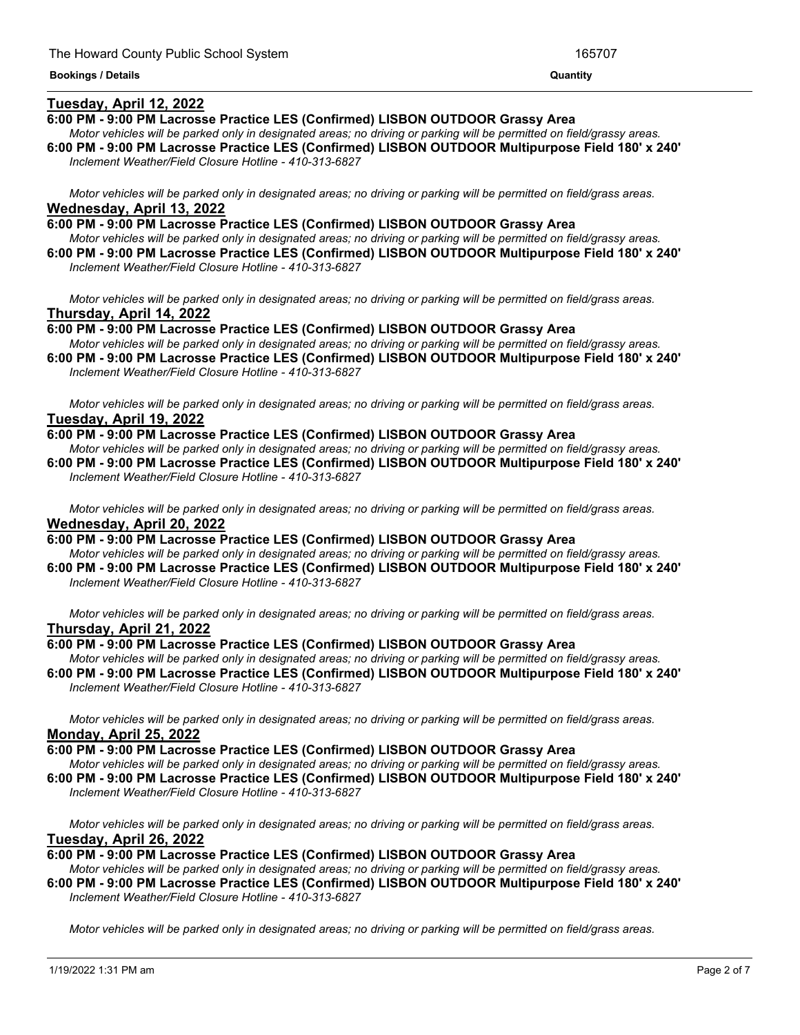## **Tuesday, April 12, 2022**

## **6:00 PM - 9:00 PM Lacrosse Practice LES (Confirmed) LISBON OUTDOOR Grassy Area**

Motor vehicles will be parked only in designated areas; no driving or parking will be permitted on field/grassy areas. **6:00 PM - 9:00 PM Lacrosse Practice LES (Confirmed) LISBON OUTDOOR Multipurpose Field 180' x 240'** *Inclement Weather/Field Closure Hotline - 410-313-6827*

<u> 1989 - Andrea Andrew Maria (h. 1989).</u>

Motor vehicles will be parked only in designated areas; no driving or parking will be permitted on field/grass areas. **Wednesday, April 13, 2022**

**6:00 PM - 9:00 PM Lacrosse Practice LES (Confirmed) LISBON OUTDOOR Grassy Area** Motor vehicles will be parked only in designated areas; no driving or parking will be permitted on field/grassy areas. **6:00 PM - 9:00 PM Lacrosse Practice LES (Confirmed) LISBON OUTDOOR Multipurpose Field 180' x 240'**

*Inclement Weather/Field Closure Hotline - 410-313-6827*

Motor vehicles will be parked only in designated areas; no driving or parking will be permitted on field/grass areas. **Thursday, April 14, 2022**

**6:00 PM - 9:00 PM Lacrosse Practice LES (Confirmed) LISBON OUTDOOR Grassy Area** Motor vehicles will be parked only in designated areas; no driving or parking will be permitted on field/grassy areas.

**6:00 PM - 9:00 PM Lacrosse Practice LES (Confirmed) LISBON OUTDOOR Multipurpose Field 180' x 240'** *Inclement Weather/Field Closure Hotline - 410-313-6827*

Motor vehicles will be parked only in designated areas; no driving or parking will be permitted on field/grass areas. **Tuesday, April 19, 2022**

**6:00 PM - 9:00 PM Lacrosse Practice LES (Confirmed) LISBON OUTDOOR Grassy Area**

Motor vehicles will be parked only in designated areas; no driving or parking will be permitted on field/grassy areas. **6:00 PM - 9:00 PM Lacrosse Practice LES (Confirmed) LISBON OUTDOOR Multipurpose Field 180' x 240'** *Inclement Weather/Field Closure Hotline - 410-313-6827*

Motor vehicles will be parked only in designated areas; no driving or parking will be permitted on field/grass areas. **Wednesday, April 20, 2022**

**6:00 PM - 9:00 PM Lacrosse Practice LES (Confirmed) LISBON OUTDOOR Grassy Area** Motor vehicles will be parked only in designated areas; no driving or parking will be permitted on field/grassy areas. **6:00 PM - 9:00 PM Lacrosse Practice LES (Confirmed) LISBON OUTDOOR Multipurpose Field 180' x 240'**

*Inclement Weather/Field Closure Hotline - 410-313-6827*

Motor vehicles will be parked only in designated areas: no driving or parking will be permitted on field/grass areas. **Thursday, April 21, 2022**

## **6:00 PM - 9:00 PM Lacrosse Practice LES (Confirmed) LISBON OUTDOOR Grassy Area**

Motor vehicles will be parked only in designated areas; no driving or parking will be permitted on field/grassy areas. **6:00 PM - 9:00 PM Lacrosse Practice LES (Confirmed) LISBON OUTDOOR Multipurpose Field 180' x 240'** *Inclement Weather/Field Closure Hotline - 410-313-6827*

Motor vehicles will be parked only in designated areas; no driving or parking will be permitted on field/grass areas. **Monday, April 25, 2022**

**6:00 PM - 9:00 PM Lacrosse Practice LES (Confirmed) LISBON OUTDOOR Grassy Area**

Motor vehicles will be parked only in designated areas; no driving or parking will be permitted on field/grassy areas. **6:00 PM - 9:00 PM Lacrosse Practice LES (Confirmed) LISBON OUTDOOR Multipurpose Field 180' x 240'** *Inclement Weather/Field Closure Hotline - 410-313-6827*

Motor vehicles will be parked only in designated areas; no driving or parking will be permitted on field/grass areas.

## **Tuesday, April 26, 2022**

**6:00 PM - 9:00 PM Lacrosse Practice LES (Confirmed) LISBON OUTDOOR Grassy Area**

Motor vehicles will be parked only in designated areas; no driving or parking will be permitted on field/grassy areas. **6:00 PM - 9:00 PM Lacrosse Practice LES (Confirmed) LISBON OUTDOOR Multipurpose Field 180' x 240'** *Inclement Weather/Field Closure Hotline - 410-313-6827*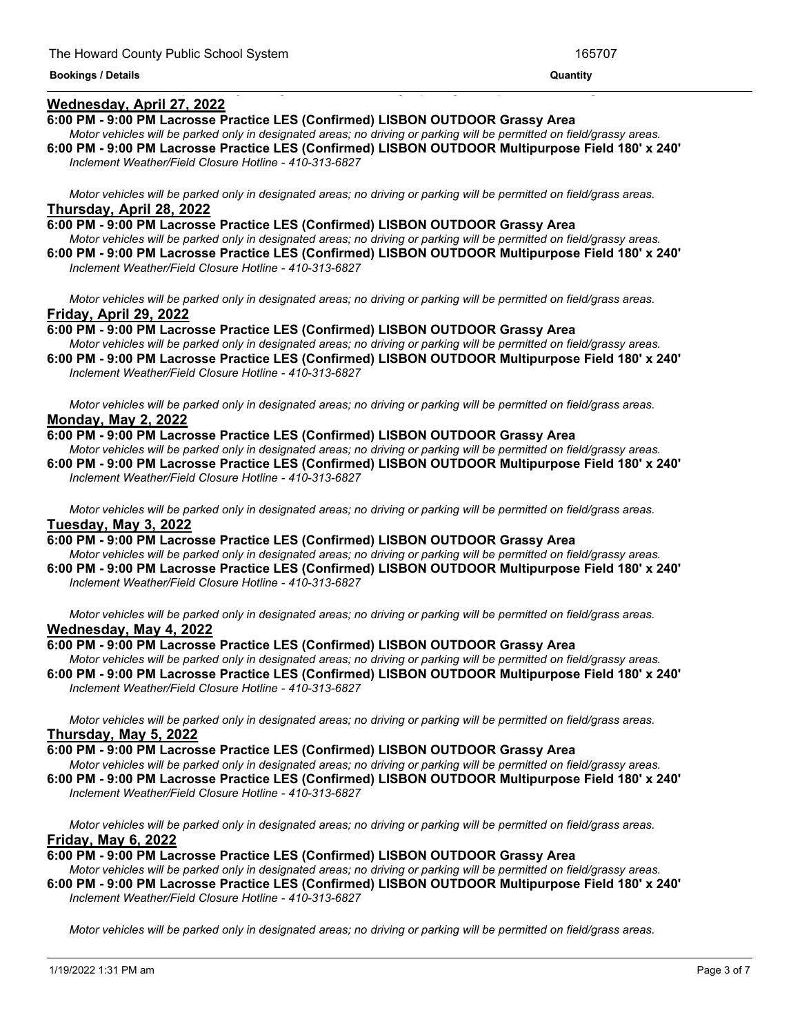#### <u> 1999 - Jan James James James James James James James James James James James James James James James James J</u> **Wednesday, April 27, 2022**

#### **6:00 PM - 9:00 PM Lacrosse Practice LES (Confirmed) LISBON OUTDOOR Grassy Area**

- Motor vehicles will be parked only in designated areas; no driving or parking will be permitted on field/grassy areas. **6:00 PM - 9:00 PM Lacrosse Practice LES (Confirmed) LISBON OUTDOOR Multipurpose Field 180' x 240'**
- *Inclement Weather/Field Closure Hotline - 410-313-6827*

Motor vehicles will be parked only in designated areas; no driving or parking will be permitted on field/grass areas. **Thursday, April 28, 2022**

**6:00 PM - 9:00 PM Lacrosse Practice LES (Confirmed) LISBON OUTDOOR Grassy Area** Motor vehicles will be parked only in designated areas; no driving or parking will be permitted on field/grassy areas. **6:00 PM - 9:00 PM Lacrosse Practice LES (Confirmed) LISBON OUTDOOR Multipurpose Field 180' x 240'**

*Inclement Weather/Field Closure Hotline - 410-313-6827*

Motor vehicles will be parked only in designated areas; no driving or parking will be permitted on field/grass areas. **Friday, April 29, 2022**

**6:00 PM - 9:00 PM Lacrosse Practice LES (Confirmed) LISBON OUTDOOR Grassy Area**

Motor vehicles will be parked only in designated areas; no driving or parking will be permitted on field/grassy areas. **6:00 PM - 9:00 PM Lacrosse Practice LES (Confirmed) LISBON OUTDOOR Multipurpose Field 180' x 240'** *Inclement Weather/Field Closure Hotline - 410-313-6827*

Motor vehicles will be parked only in designated areas; no driving or parking will be permitted on field/grass areas. **Monday, May 2, 2022**

**6:00 PM - 9:00 PM Lacrosse Practice LES (Confirmed) LISBON OUTDOOR Grassy Area**

Motor vehicles will be parked only in designated areas; no driving or parking will be permitted on field/grassy areas. **6:00 PM - 9:00 PM Lacrosse Practice LES (Confirmed) LISBON OUTDOOR Multipurpose Field 180' x 240'** *Inclement Weather/Field Closure Hotline - 410-313-6827*

Motor vehicles will be parked only in designated areas; no driving or parking will be permitted on field/grass areas. **Tuesday, May 3, 2022**

**6:00 PM - 9:00 PM Lacrosse Practice LES (Confirmed) LISBON OUTDOOR Grassy Area** Motor vehicles will be parked only in designated areas; no driving or parking will be permitted on field/grassy areas.

**6:00 PM - 9:00 PM Lacrosse Practice LES (Confirmed) LISBON OUTDOOR Multipurpose Field 180' x 240'** *Inclement Weather/Field Closure Hotline - 410-313-6827*

Motor vehicles will be parked only in designated areas; no driving or parking will be permitted on field/grass areas. **Wednesday, May 4, 2022**

## **6:00 PM - 9:00 PM Lacrosse Practice LES (Confirmed) LISBON OUTDOOR Grassy Area**

Motor vehicles will be parked only in designated areas; no driving or parking will be permitted on field/grassy areas. **6:00 PM - 9:00 PM Lacrosse Practice LES (Confirmed) LISBON OUTDOOR Multipurpose Field 180' x 240'** *Inclement Weather/Field Closure Hotline - 410-313-6827*

Motor vehicles will be parked only in designated areas; no driving or parking will be permitted on field/grass areas. **Thursday, May 5, 2022**

**6:00 PM - 9:00 PM Lacrosse Practice LES (Confirmed) LISBON OUTDOOR Grassy Area**

Motor vehicles will be parked only in designated areas; no driving or parking will be permitted on field/grassy areas. **6:00 PM - 9:00 PM Lacrosse Practice LES (Confirmed) LISBON OUTDOOR Multipurpose Field 180' x 240'**

*Inclement Weather/Field Closure Hotline - 410-313-6827*

Motor vehicles will be parked only in designated areas; no driving or parking will be permitted on field/grass areas. **Friday, May 6, 2022**

## **6:00 PM - 9:00 PM Lacrosse Practice LES (Confirmed) LISBON OUTDOOR Grassy Area**

Motor vehicles will be parked only in designated areas; no driving or parking will be permitted on field/grassy areas. **6:00 PM - 9:00 PM Lacrosse Practice LES (Confirmed) LISBON OUTDOOR Multipurpose Field 180' x 240'**

*Inclement Weather/Field Closure Hotline - 410-313-6827*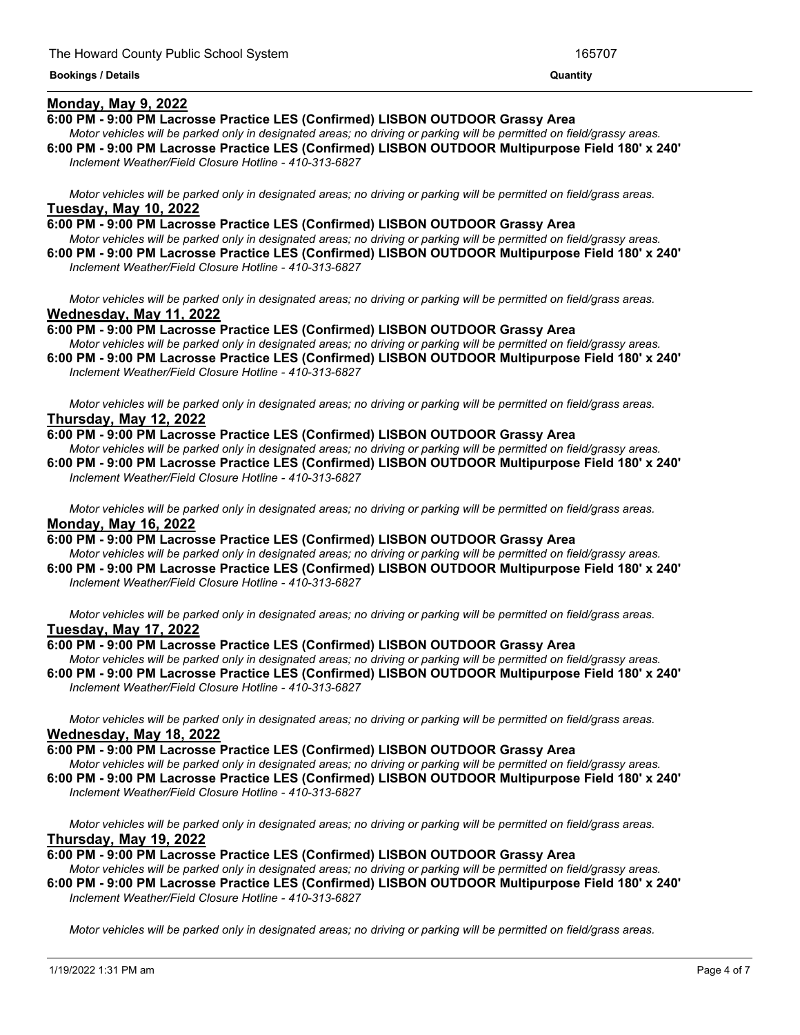## **Monday, May 9, 2022**

#### **6:00 PM - 9:00 PM Lacrosse Practice LES (Confirmed) LISBON OUTDOOR Grassy Area**

Motor vehicles will be parked only in designated areas; no driving or parking will be permitted on field/grassy areas. **6:00 PM - 9:00 PM Lacrosse Practice LES (Confirmed) LISBON OUTDOOR Multipurpose Field 180' x 240'**

<u> 1989 - Andrea Andrew Maria (h. 1989).</u>

*Inclement Weather/Field Closure Hotline - 410-313-6827*

Motor vehicles will be parked only in designated areas; no driving or parking will be permitted on field/grass areas. **Tuesday, May 10, 2022**

**6:00 PM - 9:00 PM Lacrosse Practice LES (Confirmed) LISBON OUTDOOR Grassy Area** Motor vehicles will be parked only in designated areas; no driving or parking will be permitted on field/grassy areas.

**6:00 PM - 9:00 PM Lacrosse Practice LES (Confirmed) LISBON OUTDOOR Multipurpose Field 180' x 240'** *Inclement Weather/Field Closure Hotline - 410-313-6827*

Motor vehicles will be parked only in designated areas; no driving or parking will be permitted on field/grass areas. **Wednesday, May 11, 2022**

**6:00 PM - 9:00 PM Lacrosse Practice LES (Confirmed) LISBON OUTDOOR Grassy Area** Motor vehicles will be parked only in designated areas; no driving or parking will be permitted on field/grassy areas.

**6:00 PM - 9:00 PM Lacrosse Practice LES (Confirmed) LISBON OUTDOOR Multipurpose Field 180' x 240'** *Inclement Weather/Field Closure Hotline - 410-313-6827*

Motor vehicles will be parked only in designated areas; no driving or parking will be permitted on field/grass areas. **Thursday, May 12, 2022**

**6:00 PM - 9:00 PM Lacrosse Practice LES (Confirmed) LISBON OUTDOOR Grassy Area**

Motor vehicles will be parked only in designated areas; no driving or parking will be permitted on field/grassy areas. **6:00 PM - 9:00 PM Lacrosse Practice LES (Confirmed) LISBON OUTDOOR Multipurpose Field 180' x 240'** *Inclement Weather/Field Closure Hotline - 410-313-6827*

Motor vehicles will be parked only in designated areas; no driving or parking will be permitted on field/grass areas. **Monday, May 16, 2022**

**6:00 PM - 9:00 PM Lacrosse Practice LES (Confirmed) LISBON OUTDOOR Grassy Area**

Motor vehicles will be parked only in designated areas; no driving or parking will be permitted on field/grassy areas. **6:00 PM - 9:00 PM Lacrosse Practice LES (Confirmed) LISBON OUTDOOR Multipurpose Field 180' x 240'** *Inclement Weather/Field Closure Hotline - 410-313-6827*

Motor vehicles will be parked only in designated areas; no driving or parking will be permitted on field/grass areas. **Tuesday, May 17, 2022**

#### **6:00 PM - 9:00 PM Lacrosse Practice LES (Confirmed) LISBON OUTDOOR Grassy Area**

Motor vehicles will be parked only in designated areas; no driving or parking will be permitted on field/grassy areas. **6:00 PM - 9:00 PM Lacrosse Practice LES (Confirmed) LISBON OUTDOOR Multipurpose Field 180' x 240'** *Inclement Weather/Field Closure Hotline - 410-313-6827*

Motor vehicles will be parked only in designated areas; no driving or parking will be permitted on field/grass areas. **Wednesday, May 18, 2022**

#### **6:00 PM - 9:00 PM Lacrosse Practice LES (Confirmed) LISBON OUTDOOR Grassy Area**

Motor vehicles will be parked only in designated areas; no driving or parking will be permitted on field/grassy areas. **6:00 PM - 9:00 PM Lacrosse Practice LES (Confirmed) LISBON OUTDOOR Multipurpose Field 180' x 240'**

*Inclement Weather/Field Closure Hotline - 410-313-6827*

Motor vehicles will be parked only in designated areas; no driving or parking will be permitted on field/grass areas. **Thursday, May 19, 2022**

**6:00 PM - 9:00 PM Lacrosse Practice LES (Confirmed) LISBON OUTDOOR Grassy Area**

Motor vehicles will be parked only in designated areas; no driving or parking will be permitted on field/grassy areas. **6:00 PM - 9:00 PM Lacrosse Practice LES (Confirmed) LISBON OUTDOOR Multipurpose Field 180' x 240'** *Inclement Weather/Field Closure Hotline - 410-313-6827*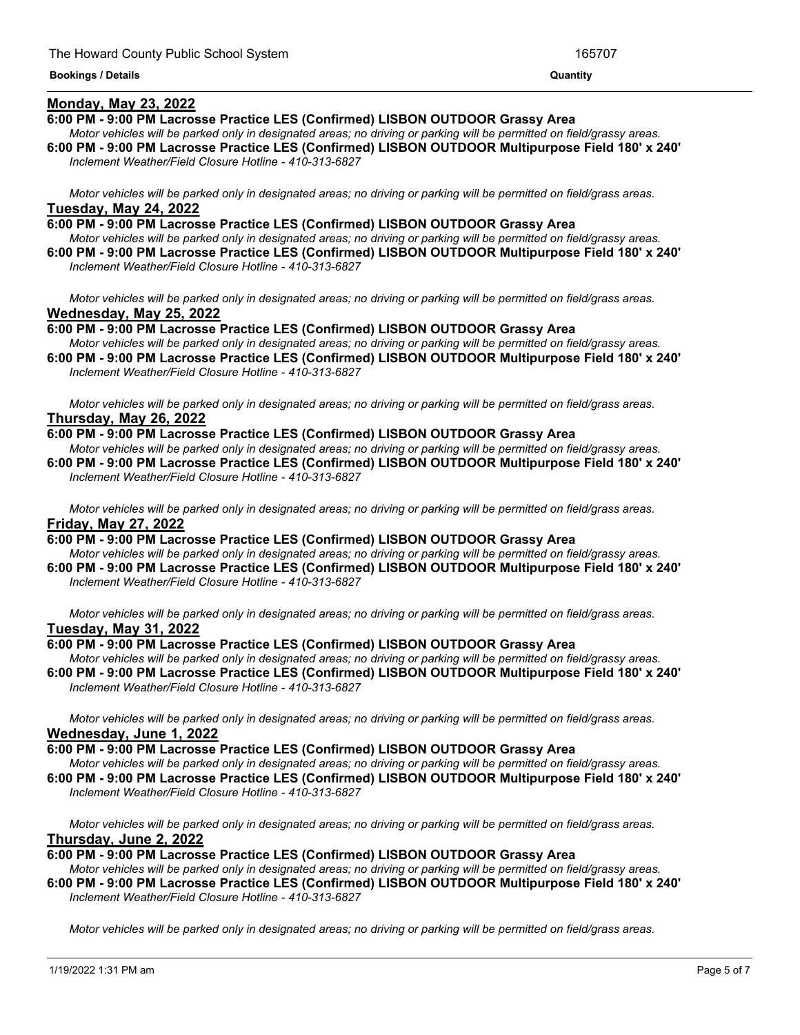## **Monday, May 23, 2022**

#### **6:00 PM - 9:00 PM Lacrosse Practice LES (Confirmed) LISBON OUTDOOR Grassy Area**

Motor vehicles will be parked only in designated areas; no driving or parking will be permitted on field/grassy areas. **6:00 PM - 9:00 PM Lacrosse Practice LES (Confirmed) LISBON OUTDOOR Multipurpose Field 180' x 240'** *Inclement Weather/Field Closure Hotline - 410-313-6827*

Motor vehicles will be parked only in designated areas; no driving or parking will be permitted on field/grass areas. **Tuesday, May 24, 2022**

**6:00 PM - 9:00 PM Lacrosse Practice LES (Confirmed) LISBON OUTDOOR Grassy Area** Motor vehicles will be parked only in designated areas; no driving or parking will be permitted on field/grassy areas. **6:00 PM - 9:00 PM Lacrosse Practice LES (Confirmed) LISBON OUTDOOR Multipurpose Field 180' x 240'** *Inclement Weather/Field Closure Hotline - 410-313-6827*

Motor vehicles will be parked only in designated areas; no driving or parking will be permitted on field/grass areas. **Wednesday, May 25, 2022**

**6:00 PM - 9:00 PM Lacrosse Practice LES (Confirmed) LISBON OUTDOOR Grassy Area** Motor vehicles will be parked only in designated areas; no driving or parking will be permitted on field/grassy areas.

**6:00 PM - 9:00 PM Lacrosse Practice LES (Confirmed) LISBON OUTDOOR Multipurpose Field 180' x 240'** *Inclement Weather/Field Closure Hotline - 410-313-6827*

Motor vehicles will be parked only in designated areas; no driving or parking will be permitted on field/grass areas. **Thursday, May 26, 2022**

**6:00 PM - 9:00 PM Lacrosse Practice LES (Confirmed) LISBON OUTDOOR Grassy Area**

Motor vehicles will be parked only in designated areas; no driving or parking will be permitted on field/grassy areas. **6:00 PM - 9:00 PM Lacrosse Practice LES (Confirmed) LISBON OUTDOOR Multipurpose Field 180' x 240'** *Inclement Weather/Field Closure Hotline - 410-313-6827*

Motor vehicles will be parked only in designated areas; no driving or parking will be permitted on field/grass areas. **Friday, May 27, 2022**

**6:00 PM - 9:00 PM Lacrosse Practice LES (Confirmed) LISBON OUTDOOR Grassy Area** Motor vehicles will be parked only in designated areas; no driving or parking will be permitted on field/grassy areas.

**6:00 PM - 9:00 PM Lacrosse Practice LES (Confirmed) LISBON OUTDOOR Multipurpose Field 180' x 240'** *Inclement Weather/Field Closure Hotline - 410-313-6827*

Motor vehicles will be parked only in designated areas; no driving or parking will be permitted on field/grass areas. **Tuesday, May 31, 2022**

#### **6:00 PM - 9:00 PM Lacrosse Practice LES (Confirmed) LISBON OUTDOOR Grassy Area**

Motor vehicles will be parked only in designated areas; no driving or parking will be permitted on field/grassy areas. **6:00 PM - 9:00 PM Lacrosse Practice LES (Confirmed) LISBON OUTDOOR Multipurpose Field 180' x 240'** *Inclement Weather/Field Closure Hotline - 410-313-6827*

Motor vehicles will be parked only in designated areas; no driving or parking will be permitted on field/grass areas. **Wednesday, June 1, 2022**

#### **6:00 PM - 9:00 PM Lacrosse Practice LES (Confirmed) LISBON OUTDOOR Grassy Area**

Motor vehicles will be parked only in designated areas; no driving or parking will be permitted on field/grassy areas. **6:00 PM - 9:00 PM Lacrosse Practice LES (Confirmed) LISBON OUTDOOR Multipurpose Field 180' x 240'**

*Inclement Weather/Field Closure Hotline - 410-313-6827*

Motor vehicles will be parked only in designated areas; no driving or parking will be permitted on field/grass areas. **Thursday, June 2, 2022**

## **6:00 PM - 9:00 PM Lacrosse Practice LES (Confirmed) LISBON OUTDOOR Grassy Area**

Motor vehicles will be parked only in designated areas; no driving or parking will be permitted on field/grassy areas. **6:00 PM - 9:00 PM Lacrosse Practice LES (Confirmed) LISBON OUTDOOR Multipurpose Field 180' x 240'** *Inclement Weather/Field Closure Hotline - 410-313-6827*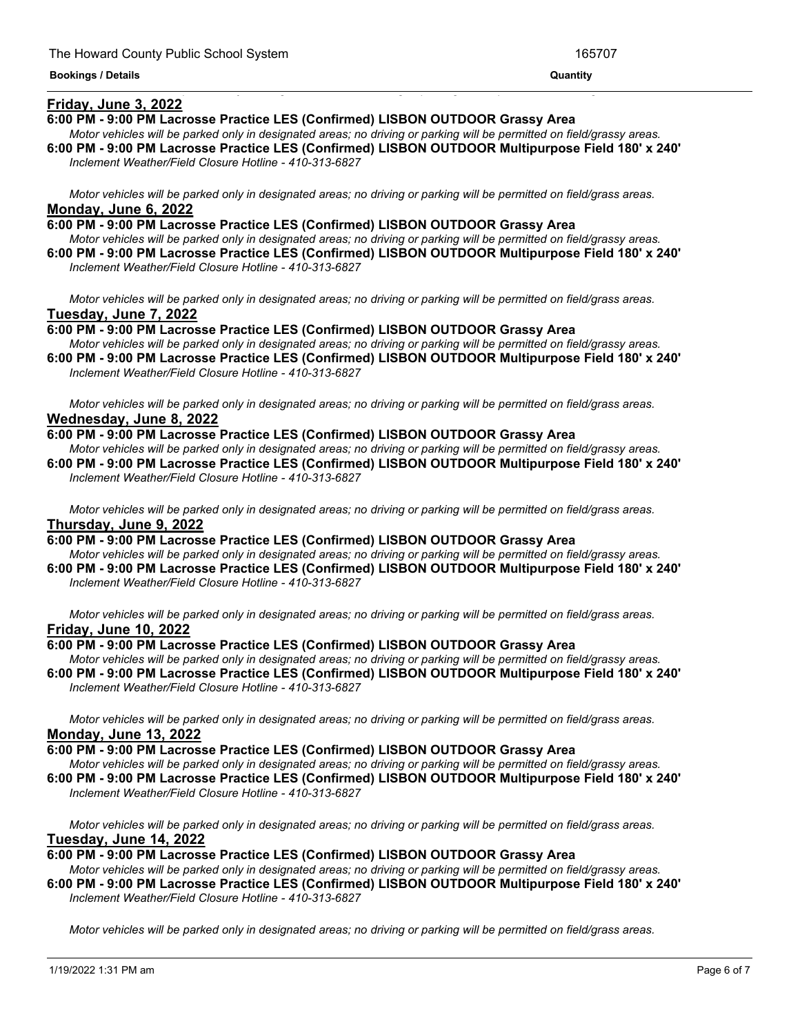## **Friday, June 3, 2022**

#### **6:00 PM - 9:00 PM Lacrosse Practice LES (Confirmed) LISBON OUTDOOR Grassy Area**

Motor vehicles will be parked only in designated areas; no driving or parking will be permitted on field/grassy areas. **6:00 PM - 9:00 PM Lacrosse Practice LES (Confirmed) LISBON OUTDOOR Multipurpose Field 180' x 240'**

<u> 1989 - Andrea Andrea Andrea Andrea Andrea Andrea Andrea Andrea Andrea Andrea Andrea Andrea Andrea Andrea Andr</u>

*Inclement Weather/Field Closure Hotline - 410-313-6827*

Motor vehicles will be parked only in designated areas; no driving or parking will be permitted on field/grass areas. **Monday, June 6, 2022**

- **6:00 PM - 9:00 PM Lacrosse Practice LES (Confirmed) LISBON OUTDOOR Grassy Area** Motor vehicles will be parked only in designated areas; no driving or parking will be permitted on field/grassy areas.
- **6:00 PM - 9:00 PM Lacrosse Practice LES (Confirmed) LISBON OUTDOOR Multipurpose Field 180' x 240'** *Inclement Weather/Field Closure Hotline - 410-313-6827*

Motor vehicles will be parked only in designated areas; no driving or parking will be permitted on field/grass areas. **Tuesday, June 7, 2022**

**6:00 PM - 9:00 PM Lacrosse Practice LES (Confirmed) LISBON OUTDOOR Grassy Area** Motor vehicles will be parked only in designated areas; no driving or parking will be permitted on field/grassy areas.

**6:00 PM - 9:00 PM Lacrosse Practice LES (Confirmed) LISBON OUTDOOR Multipurpose Field 180' x 240'** *Inclement Weather/Field Closure Hotline - 410-313-6827*

Motor vehicles will be parked only in designated areas; no driving or parking will be permitted on field/grass areas. **Wednesday, June 8, 2022**

**6:00 PM - 9:00 PM Lacrosse Practice LES (Confirmed) LISBON OUTDOOR Grassy Area**

Motor vehicles will be parked only in designated areas; no driving or parking will be permitted on field/grassy areas. **6:00 PM - 9:00 PM Lacrosse Practice LES (Confirmed) LISBON OUTDOOR Multipurpose Field 180' x 240'** *Inclement Weather/Field Closure Hotline - 410-313-6827*

Motor vehicles will be parked only in designated areas; no driving or parking will be permitted on field/grass areas. **Thursday, June 9, 2022**

**6:00 PM - 9:00 PM Lacrosse Practice LES (Confirmed) LISBON OUTDOOR Grassy Area** Motor vehicles will be parked only in designated areas; no driving or parking will be permitted on field/grassy areas.

**6:00 PM - 9:00 PM Lacrosse Practice LES (Confirmed) LISBON OUTDOOR Multipurpose Field 180' x 240'** *Inclement Weather/Field Closure Hotline - 410-313-6827*

Motor vehicles will be parked only in designated areas; no driving or parking will be permitted on field/grass areas. **Friday, June 10, 2022**

#### **6:00 PM - 9:00 PM Lacrosse Practice LES (Confirmed) LISBON OUTDOOR Grassy Area**

Motor vehicles will be parked only in designated areas; no driving or parking will be permitted on field/grassy areas. **6:00 PM - 9:00 PM Lacrosse Practice LES (Confirmed) LISBON OUTDOOR Multipurpose Field 180' x 240'** *Inclement Weather/Field Closure Hotline - 410-313-6827*

Motor vehicles will be parked only in designated areas; no driving or parking will be permitted on field/grass areas. **Monday, June 13, 2022**

#### **6:00 PM - 9:00 PM Lacrosse Practice LES (Confirmed) LISBON OUTDOOR Grassy Area**

Motor vehicles will be parked only in designated areas; no driving or parking will be permitted on field/grassy areas. **6:00 PM - 9:00 PM Lacrosse Practice LES (Confirmed) LISBON OUTDOOR Multipurpose Field 180' x 240'**

*Inclement Weather/Field Closure Hotline - 410-313-6827*

Motor vehicles will be parked only in designated areas; no driving or parking will be permitted on field/grass areas. **Tuesday, June 14, 2022**

#### **6:00 PM - 9:00 PM Lacrosse Practice LES (Confirmed) LISBON OUTDOOR Grassy Area**

Motor vehicles will be parked only in designated areas; no driving or parking will be permitted on field/grassy areas. **6:00 PM - 9:00 PM Lacrosse Practice LES (Confirmed) LISBON OUTDOOR Multipurpose Field 180' x 240'** *Inclement Weather/Field Closure Hotline - 410-313-6827*